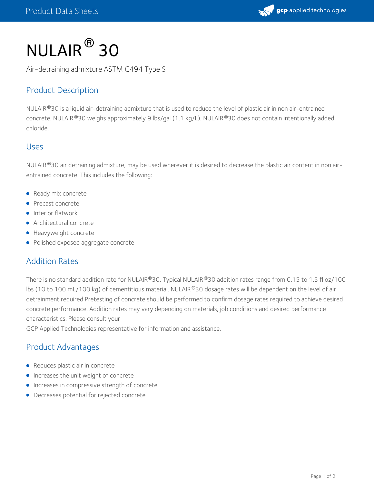

# $NULAIR<sup>®</sup>$  30

Air-detraining admixture ASTM C494 Type S

## Product Description

<code>NULAIR®30</code> is a liquid air-detraining admixture that is used to reduce the level of plastic air in non air-entrained concrete. NULAIR®30 weighs approximately 9 lbs/gal (1.1 kg/L). NULAIR®30 does not contain intentionally added chloride.

#### Uses

NULAIR  $^{\circledR}$ 30 air detraining admixture, may be used wherever it is desired to decrease the plastic air content in non airentrained concrete. This includes the following:

- Ready mix concrete
- Precast concrete
- **Interior flatwork**
- Architectural concrete
- **•** Heavyweight concrete
- Polished exposed aggregate concrete

#### Addition Rates

There is no standard addition rate for NULAIR®30. Typical NULAIR®30 addition rates range from 0.15 to 1.5 fl oz/100 lbs (10 to 100 mL/100 kg) of cementitious material. NULAIR®30 dosage rates will be dependent on the level of air detrainment required.Pretesting of concrete should be performed to confirm dosage rates required to achieve desired concrete performance. Addition rates may vary depending on materials, job conditions and desired performance characteristics. Please consult your

GCP Applied Technologies representative for information and assistance.

#### Product Advantages

- Reduces plastic air in concrete
- **Increases the unit weight of concrete**
- **Increases in compressive strength of concrete**
- Decreases potential for rejected concrete